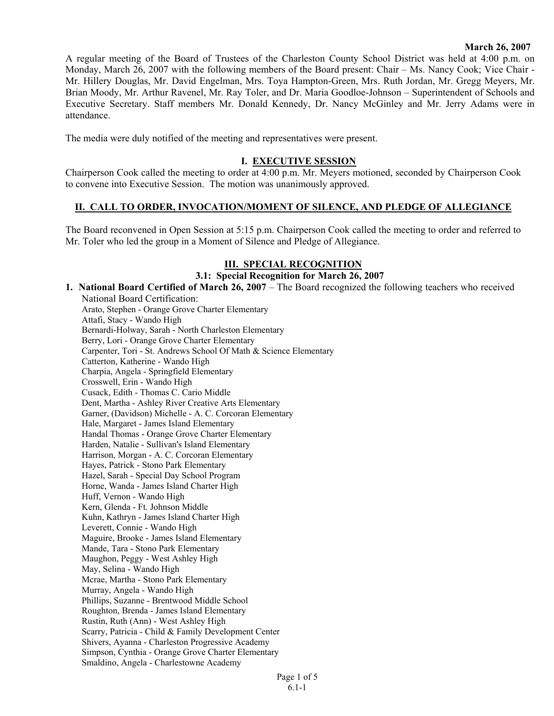#### **March 26, 2007**

A regular meeting of the Board of Trustees of the Charleston County School District was held at 4:00 p.m. on Monday, March 26, 2007 with the following members of the Board present: Chair – Ms. Nancy Cook; Vice Chair - Mr. Hillery Douglas, Mr. David Engelman, Mrs. Toya Hampton-Green, Mrs. Ruth Jordan, Mr. Gregg Meyers, Mr. Brian Moody, Mr. Arthur Ravenel, Mr. Ray Toler, and Dr. Maria Goodloe-Johnson – Superintendent of Schools and Executive Secretary. Staff members Mr. Donald Kennedy, Dr. Nancy McGinley and Mr. Jerry Adams were in attendance.

The media were duly notified of the meeting and representatives were present.

## **I. EXECUTIVE SESSION**

Chairperson Cook called the meeting to order at 4:00 p.m. Mr. Meyers motioned, seconded by Chairperson Cook to convene into Executive Session. The motion was unanimously approved.

## **II. CALL TO ORDER, INVOCATION/MOMENT OF SILENCE, AND PLEDGE OF ALLEGIANCE**

The Board reconvened in Open Session at 5:15 p.m. Chairperson Cook called the meeting to order and referred to Mr. Toler who led the group in a Moment of Silence and Pledge of Allegiance.

## **III. SPECIAL RECOGNITION**

## **3.1: Special Recognition for March 26, 2007**

**1. National Board Certified of March 26, 2007** – The Board recognized the following teachers who received National Board Certification: Arato, Stephen - Orange Grove Charter Elementary Attafi, Stacy - Wando High Bernardi-Holway, Sarah - North Charleston Elementary Berry, Lori - Orange Grove Charter Elementary Carpenter, Tori - St. Andrews School Of Math & Science Elementary Catterton, Katherine - Wando High Charpia, Angela - Springfield Elementary Crosswell, Erin - Wando High Cusack, Edith - Thomas C. Cario Middle Dent, Martha - Ashley River Creative Arts Elementary Garner, (Davidson) Michelle - A. C. Corcoran Elementary Hale, Margaret - James Island Elementary Handal Thomas - Orange Grove Charter Elementary Harden, Natalie - Sullivan's Island Elementary Harrison, Morgan - A. C. Corcoran Elementary Hayes, Patrick - Stono Park Elementary Hazel, Sarah - Special Day School Program Horne, Wanda - James Island Charter High Huff, Vernon - Wando High Kern, Glenda - Ft. Johnson Middle Kuhn, Kathryn - James Island Charter High Leverett, Connie - Wando High Maguire, Brooke - James Island Elementary Mande, Tara - Stono Park Elementary Maughon, Peggy - West Ashley High May, Selina - Wando High Mcrae, Martha - Stono Park Elementary Murray, Angela - Wando High Phillips, Suzanne - Brentwood Middle School Roughton, Brenda - James Island Elementary Rustin, Ruth (Ann) - West Ashley High Scarry, Patricia - Child & Family Development Center Shivers, Ayanna - Charleston Progressive Academy Simpson, Cynthia - Orange Grove Charter Elementary Smaldino, Angela - Charlestowne Academy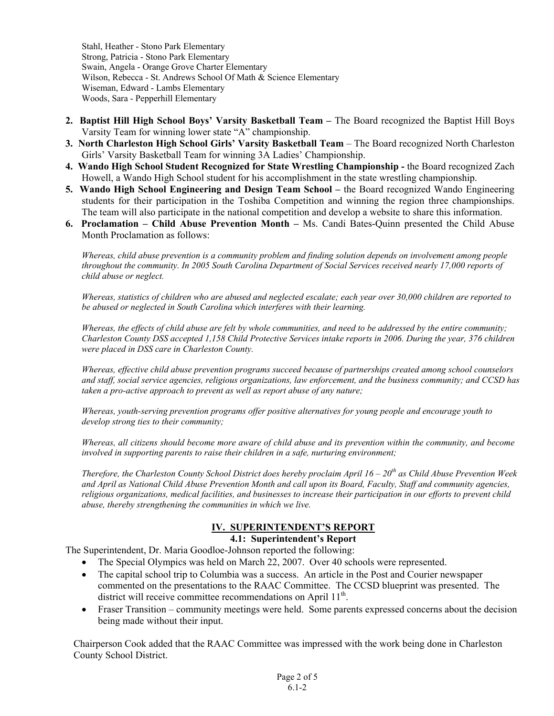Stahl, Heather - Stono Park Elementary Strong, Patricia - Stono Park Elementary Swain, Angela - Orange Grove Charter Elementary Wilson, Rebecca - St. Andrews School Of Math & Science Elementary Wiseman, Edward - Lambs Elementary Woods, Sara - Pepperhill Elementary

- **2. Baptist Hill High School Boys' Varsity Basketball Team** The Board recognized the Baptist Hill Boys Varsity Team for winning lower state "A" championship.
- 3. North Charleston High School Girls' Varsity Basketball Team The Board recognized North Charleston Girls' Varsity Basketball Team for winning 3A Ladies' Championship.
- **4. Wando High School Student Recognized for State Wrestling Championship** the Board recognized Zach Howell, a Wando High School student for his accomplishment in the state wrestling championship.
- **5. Wando High School Engineering and Design Team School** the Board recognized Wando Engineering students for their participation in the Toshiba Competition and winning the region three championships. The team will also participate in the national competition and develop a website to share this information.
- **6. Proclamation Child Abuse Prevention Month** Ms. Candi Bates-Quinn presented the Child Abuse Month Proclamation as follows:

*Whereas, child abuse prevention is a community problem and finding solution depends on involvement among people throughout the community. In 2005 South Carolina Department of Social Services received nearly 17,000 reports of child abuse or neglect.* 

*Whereas, statistics of children who are abused and neglected escalate; each year over 30,000 children are reported to be abused or neglected in South Carolina which interferes with their learning.* 

*Whereas, the effects of child abuse are felt by whole communities, and need to be addressed by the entire community; Charleston County DSS accepted 1,158 Child Protective Services intake reports in 2006. During the year, 376 children were placed in DSS care in Charleston County.* 

*Whereas, effective child abuse prevention programs succeed because of partnerships created among school counselors and staff, social service agencies, religious organizations, law enforcement, and the business community; and CCSD has taken a pro-active approach to prevent as well as report abuse of any nature;* 

*Whereas, youth-serving prevention programs offer positive alternatives for young people and encourage youth to develop strong ties to their community;* 

*Whereas, all citizens should become more aware of child abuse and its prevention within the community, and become involved in supporting parents to raise their children in a safe, nurturing environment;* 

*Therefore, the Charleston County School District does hereby proclaim April 16 – 20<sup>th</sup> as Child Abuse Prevention Week and April as National Child Abuse Prevention Month and call upon its Board, Faculty, Staff and community agencies, religious organizations, medical facilities, and businesses to increase their participation in our efforts to prevent child abuse, thereby strengthening the communities in which we live.* 

# **IV. SUPERINTENDENT'S REPORT**

# **4.1: Superintendent's Report**

The Superintendent, Dr. Maria Goodloe-Johnson reported the following:

- The Special Olympics was held on March 22, 2007. Over 40 schools were represented.
- The capital school trip to Columbia was a success. An article in the Post and Courier newspaper commented on the presentations to the RAAC Committee. The CCSD blueprint was presented. The district will receive committee recommendations on April 11<sup>th</sup>.
- Fraser Transition community meetings were held. Some parents expressed concerns about the decision being made without their input.

Chairperson Cook added that the RAAC Committee was impressed with the work being done in Charleston County School District.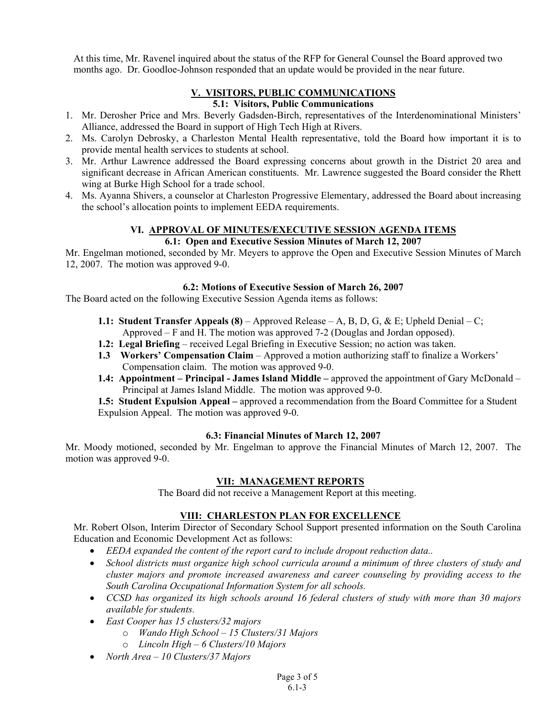At this time, Mr. Ravenel inquired about the status of the RFP for General Counsel the Board approved two months ago. Dr. Goodloe-Johnson responded that an update would be provided in the near future.

#### **V. VISITORS, PUBLIC COMMUNICATIONS 5.1: Visitors, Public Communications**

- 1. Mr. Derosher Price and Mrs. Beverly Gadsden-Birch, representatives of the Interdenominational Ministers' Alliance, addressed the Board in support of High Tech High at Rivers.
- 2. Ms. Carolyn Debrosky, a Charleston Mental Health representative, told the Board how important it is to provide mental health services to students at school.
- 3. Mr. Arthur Lawrence addressed the Board expressing concerns about growth in the District 20 area and significant decrease in African American constituents. Mr. Lawrence suggested the Board consider the Rhett wing at Burke High School for a trade school.
- 4. Ms. Ayanna Shivers, a counselor at Charleston Progressive Elementary, addressed the Board about increasing the school's allocation points to implement EEDA requirements.

### **VI. APPROVAL OF MINUTES/EXECUTIVE SESSION AGENDA ITEMS 6.1: Open and Executive Session Minutes of March 12, 2007**

Mr. Engelman motioned, seconded by Mr. Meyers to approve the Open and Executive Session Minutes of March 12, 2007. The motion was approved 9-0.

## **6.2: Motions of Executive Session of March 26, 2007**

The Board acted on the following Executive Session Agenda items as follows:

- **1.1: Student Transfer Appeals (8)** Approved Release A, B, D, G, & E; Upheld Denial C; Approved – F and H. The motion was approved 7-2 (Douglas and Jordan opposed).
- **1.2: Legal Briefing** received Legal Briefing in Executive Session; no action was taken.
- **1.3 Workers' Compensation Claim** Approved a motion authorizing staff to finalize a Workers' Compensation claim. The motion was approved 9-0.
- **1.4: Appointment Principal James Island Middle** approved the appointment of Gary McDonald Principal at James Island Middle. The motion was approved 9-0.

**1.5: Student Expulsion Appeal –** approved a recommendation from the Board Committee for a Student Expulsion Appeal. The motion was approved 9-0.

# **6.3: Financial Minutes of March 12, 2007**

Mr. Moody motioned, seconded by Mr. Engelman to approve the Financial Minutes of March 12, 2007. The motion was approved 9-0.

# **VII: MANAGEMENT REPORTS**

The Board did not receive a Management Report at this meeting.

# **VIII: CHARLESTON PLAN FOR EXCELLENCE**

Mr. Robert Olson, Interim Director of Secondary School Support presented information on the South Carolina Education and Economic Development Act as follows:

- *EEDA expanded the content of the report card to include dropout reduction data..*
- *School districts must organize high school curricula around a minimum of three clusters of study and cluster majors and promote increased awareness and career counseling by providing access to the South Carolina Occupational Information System for all schools.*
- *CCSD has organized its high schools around 16 federal clusters of study with more than 30 majors available for students.*
- *East Cooper has 15 clusters/32 majors* 
	- o *Wando High School 15 Clusters/31 Majors*
	- o *Lincoln High 6 Clusters/10 Majors*
- *North Area 10 Clusters/37 Majors*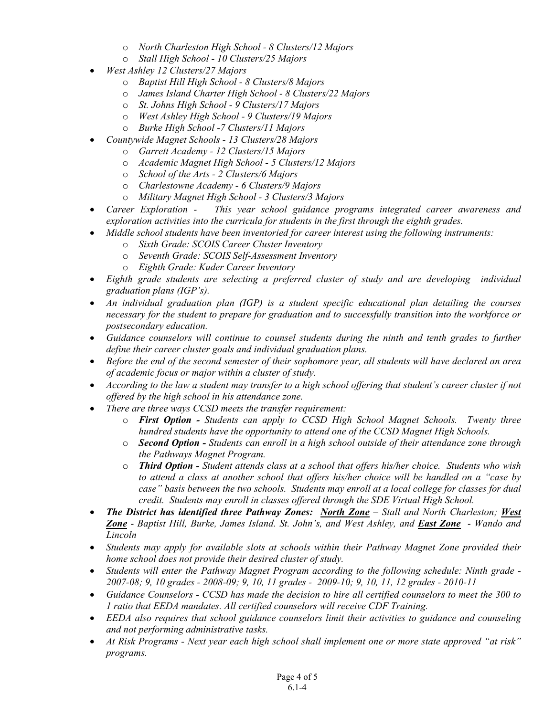- o *North Charleston High School 8 Clusters/12 Majors*
- o *Stall High School 10 Clusters/25 Majors*
- *West Ashley 12 Clusters/27 Majors* 
	- o *Baptist Hill High School 8 Clusters/8 Majors*
	- o *James Island Charter High School 8 Clusters/22 Majors*
	- o *St. Johns High School 9 Clusters/17 Majors*
	- o *West Ashley High School 9 Clusters/19 Majors*
	- o *Burke High School -7 Clusters/11 Majors*
- *Countywide Magnet Schools 13 Clusters/28 Majors* 
	- o *Garrett Academy 12 Clusters/15 Majors*
	- o *Academic Magnet High School 5 Clusters/12 Majors*
	- o *School of the Arts 2 Clusters/6 Majors*
	- o *Charlestowne Academy 6 Clusters/9 Majors*
	- o *Military Magnet High School 3 Clusters/3 Majors*
- *Career Exploration This year school guidance programs integrated career awareness and exploration activities into the curricula for students in the first through the eighth grades.*
- *Middle school students have been inventoried for career interest using the following instruments:* 
	- o *Sixth Grade: SCOIS Career Cluster Inventory*
	- o *Seventh Grade: SCOIS Self-Assessment Inventory*
	- o *Eighth Grade: Kuder Career Inventory*
- *Eighth grade students are selecting a preferred cluster of study and are developing individual graduation plans (IGP's).*
- *An individual graduation plan (IGP) is a student specific educational plan detailing the courses necessary for the student to prepare for graduation and to successfully transition into the workforce or postsecondary education.*
- *Guidance counselors will continue to counsel students during the ninth and tenth grades to further define their career cluster goals and individual graduation plans.*
- *Before the end of the second semester of their sophomore year, all students will have declared an area of academic focus or major within a cluster of study.*
- *According to the law a student may transfer to a high school offering that student's career cluster if not offered by the high school in his attendance zone.*
- *There are three ways CCSD meets the transfer requirement:* 
	- o *First Option Students can apply to CCSD High School Magnet Schools. Twenty three hundred students have the opportunity to attend one of the CCSD Magnet High Schools.*
	- o *Second Option Students can enroll in a high school outside of their attendance zone through the Pathways Magnet Program.*
	- o *Third Option Student attends class at a school that offers his/her choice. Students who wish to attend a class at another school that offers his/her choice will be handled on a "case by case" basis between the two schools. Students may enroll at a local college for classes for dual credit. Students may enroll in classes offered through the SDE Virtual High School.*
- *The District has identified three Pathway Zones: North Zone Stall and North Charleston; West Zone - Baptist Hill, Burke, James Island. St. John's, and West Ashley, and East Zone - Wando and Lincoln*
- *Students may apply for available slots at schools within their Pathway Magnet Zone provided their home school does not provide their desired cluster of study.*
- *Students will enter the Pathway Magnet Program according to the following schedule: Ninth grade 2007-08; 9, 10 grades - 2008-09; 9, 10, 11 grades - 2009-10; 9, 10, 11, 12 grades - 2010-11*
- *Guidance Counselors CCSD has made the decision to hire all certified counselors to meet the 300 to 1 ratio that EEDA mandates. All certified counselors will receive CDF Training.*
- *EEDA also requires that school guidance counselors limit their activities to guidance and counseling and not performing administrative tasks.*
- *At Risk Programs - Next year each high school shall implement one or more state approved "at risk" programs.*